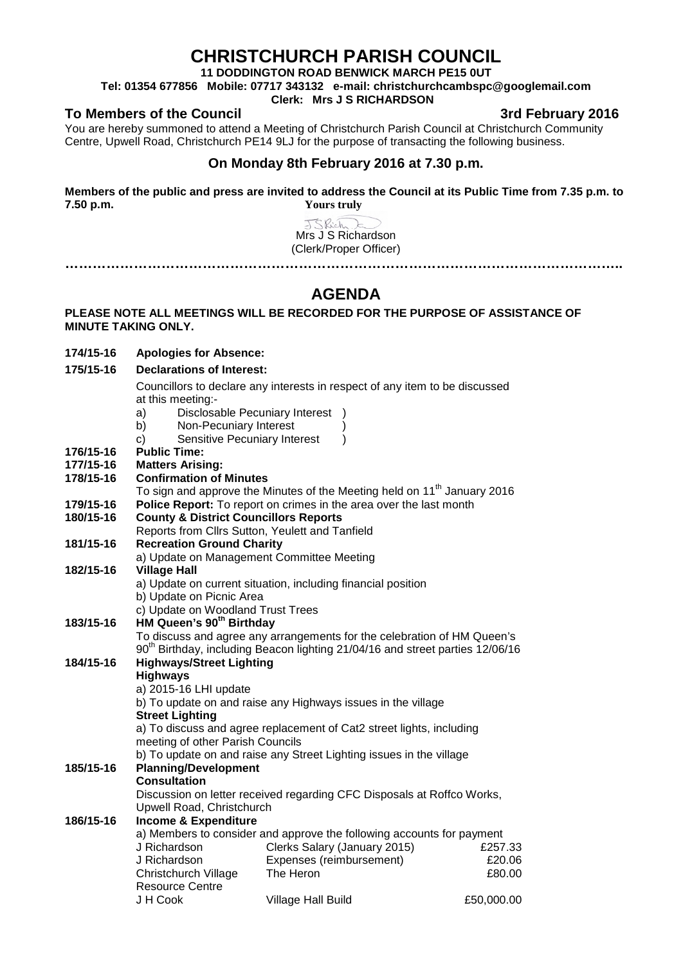## **CHRISTCHURCH PARISH COUNCIL**

**11 DODDINGTON ROAD BENWICK MARCH PE15 0UT**

**Tel: 01354 677856 Mobile: 07717 343132 e-mail: christchurchcambspc@googlemail.com**

## **Clerk: Mrs J S RICHARDSON**

## **To Members of the Council 3rd February 2016**

You are hereby summoned to attend a Meeting of Christchurch Parish Council at Christchurch Community Centre, Upwell Road, Christchurch PE14 9LJ for the purpose of transacting the following business.

## **On Monday 8th February 2016 at 7.30 p.m.**

**Members of the public and press are invited to address the Council at its Public Time from 7.35 p.m. to 7.50 p.m. Yours truly**

> JSRich Mrs J S Richardson (Clerk/Proper Officer)

**…………………………………………………………………………………………………………..**

## **AGENDA**

## **PLEASE NOTE ALL MEETINGS WILL BE RECORDED FOR THE PURPOSE OF ASSISTANCE OF MINUTE TAKING ONLY.**

**174/15-16 Apologies for Absence:** 

## **175/15-16 Declarations of Interest:**

Councillors to declare any interests in respect of any item to be discussed at this meeting:-

- a) Disclosable Pecuniary Interest )
- b) Non-Pecuniary Interest
- c) Sensitive Pecuniary Interest )
- **176/15-16 Public Time:**
- **177/15-16 Matters Arising:**
- **178/15-16 Confirmation of Minutes**
	- To sign and approve the Minutes of the Meeting held on  $11<sup>th</sup>$  January 2016
- **179/15-16 Police Report:** To report on crimes in the area over the last month
- **County & District Councillors Reports**

Reports from Cllrs Sutton, Yeulett and Tanfield

- **181/15-16 Recreation Ground Charity**
	- a) Update on Management Committee Meeting

# **182/15-16 Village Hall**

- a) Update on current situation, including financial position b) Update on Picnic Area
	- c) Update on Woodland Trust Trees

## **183/15-16 HM Queen's 90th Birthday**

To discuss and agree any arrangements for the celebration of HM Queen's 90<sup>th</sup> Birthday, including Beacon lighting 21/04/16 and street parties 12/06/16

#### **184/15-16 Highways/Street Lighting Highways**

a) 2015-16 LHI update b) To update on and raise any Highways issues in the village **Street Lighting**

a) To discuss and agree replacement of Cat2 street lights, including meeting of other Parish Councils

b) To update on and raise any Street Lighting issues in the village

## **185/15-16 Planning/Development**

#### **Consultation**

Discussion on letter received regarding CFC Disposals at Roffco Works, Upwell Road, Christchurch

## **186/15-16 Income & Expenditure**

a) Members to consider and approve the following accounts for payment J Richardson J Richardson Christchurch Village Resource Centre J H Cook Clerks Salary (January 2015) Expenses (reimbursement) The Heron Village Hall Build £257.33 £20.06 £80.00 £50,000.00